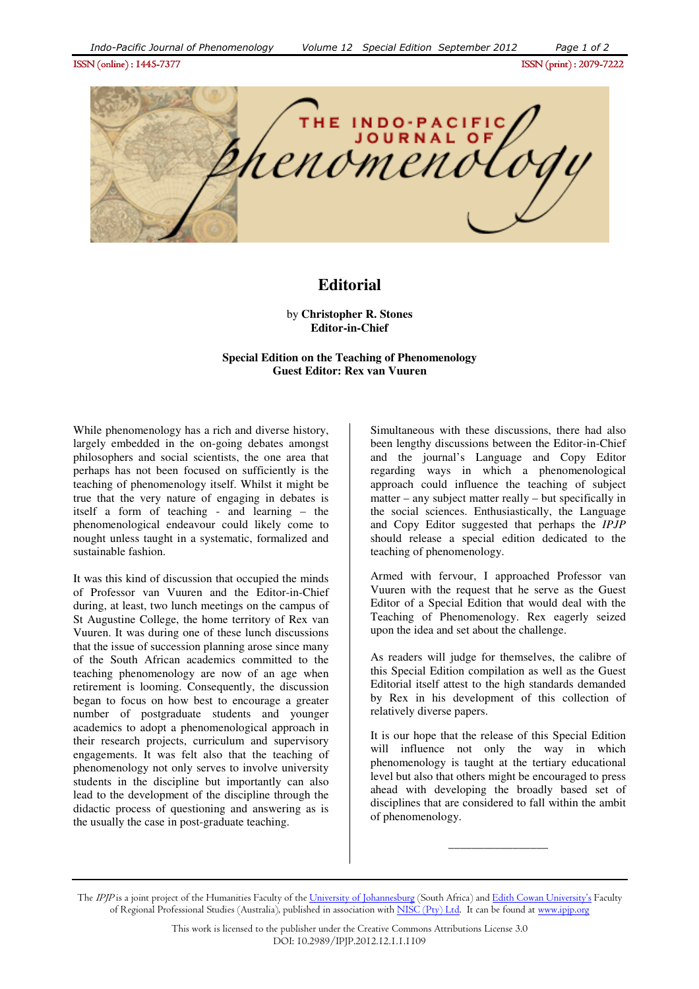ISSN (online) : 1445- ISSN (online) : 1445-7377ISSN (print) : 2079- ISSN (print) 2079-7222



# **Editorial**

by **Christopher R. Stones Editor-in-Chief**

## **Special Edition on the Teaching of Phenomenology Guest Editor: Rex van Vuuren**

While phenomenology has a rich and diverse history, largely embedded in the on-going debates amongst philosophers and social scientists, the one area that perhaps has not been focused on sufficiently is the teaching of phenomenology itself. Whilst it might be true that the very nature of engaging in debates is itself a form of teaching - and learning – the phenomenological endeavour could likely come to nought unless taught in a systematic, formalized and sustainable fashion.

It was this kind of discussion that occupied the minds of Professor van Vuuren and the Editor-in-Chief during, at least, two lunch meetings on the campus of St Augustine College, the home territory of Rex van Vuuren. It was during one of these lunch discussions that the issue of succession planning arose since many of the South African academics committed to the teaching phenomenology are now of an age when retirement is looming. Consequently, the discussion began to focus on how best to encourage a greater number of postgraduate students and younger academics to adopt a phenomenological approach in their research projects, curriculum and supervisory engagements. It was felt also that the teaching of phenomenology not only serves to involve university students in the discipline but importantly can also lead to the development of the discipline through the didactic process of questioning and answering as is the usually the case in post-graduate teaching.

Simultaneous with these discussions, there had also been lengthy discussions between the Editor-in-Chief and the journal's Language and Copy Editor regarding ways in which a phenomenological approach could influence the teaching of subject matter – any subject matter really – but specifically in the social sciences. Enthusiastically, the Language and Copy Editor suggested that perhaps the *IPJP* should release a special edition dedicated to the teaching of phenomenology.

Armed with fervour, I approached Professor van Vuuren with the request that he serve as the Guest Editor of a Special Edition that would deal with the Teaching of Phenomenology. Rex eagerly seized upon the idea and set about the challenge.

As readers will judge for themselves, the calibre of this Special Edition compilation as well as the Guest Editorial itself attest to the high standards demanded by Rex in his development of this collection of relatively diverse papers.

It is our hope that the release of this Special Edition will influence not only the way in which phenomenology is taught at the tertiary educational level but also that others might be encouraged to press ahead with developing the broadly based set of disciplines that are considered to fall within the ambit of phenomenology.

 $\overline{\phantom{a}}$  , where the contract of the contract of the contract of  $\overline{\phantom{a}}$ 

The IPJP is a joint project of the Humanities Faculty of the University of Johannesburg (South Africa) and Edith Cowan University's Faculty of Regional Professional Studies (Australia), published in association with NISC (Pty) Ltd. It can be found at www.ipip.org